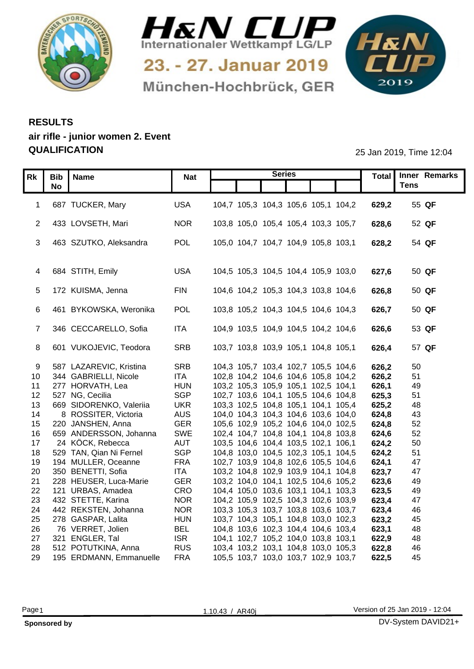



München-Hochbrück, GER



## **RESULTS air rifle - junior women 2. Event QUALIFICATION** 25 Jan 2019, Time 12:04

|                 | Rk   Bib   Name                                 |                          | <b>Series</b>                                                              |                | Total   Inner Remarks |
|-----------------|-------------------------------------------------|--------------------------|----------------------------------------------------------------------------|----------------|-----------------------|
|                 | <b>No</b>                                       | Nat                      |                                                                            |                | <b>Tens</b>           |
|                 |                                                 |                          |                                                                            |                |                       |
|                 | 1 687 TUCKER, Mary                              | <b>USA</b>               | 104,7 105,3 104,3 105,6 105,1 104,2                                        | 629,2          | 55 QF                 |
|                 |                                                 |                          |                                                                            |                |                       |
|                 | 2 433 LOVSETH, Mari                             | <b>NOR</b>               | 103,8 105,0 105,4 105,4 103,3 105,7                                        | 628,6          | 52 QF                 |
|                 |                                                 |                          |                                                                            |                |                       |
|                 | 3 463 SZUTKO, Aleksandra                        | POL                      | 105,0 104,7 104,7 104,9 105,8 103,1                                        | 628,2          | 54 QF                 |
|                 |                                                 |                          |                                                                            |                |                       |
|                 | 4 684 STITH, Emily                              | <b>USA</b>               | 104,5 105,3 104,5 104,4 105,9 103,0                                        | 627,6          | 50 QF                 |
|                 |                                                 |                          |                                                                            |                |                       |
|                 | 5 172 KUISMA, Jenna                             | FIN                      | 104,6 104,2 105,3 104,3 103,8 104,6                                        | 626,8          | 50 QF                 |
|                 |                                                 |                          |                                                                            |                |                       |
|                 | 461 BYKOWSKA, Weronika                          | POL                      | 103,8 105,2 104,3 104,5 104,6 104,3                                        | 626,7          | 50 QF                 |
|                 |                                                 |                          |                                                                            |                |                       |
|                 | 346 CECCARELLO, Sofia                           | <b>ITA</b>               | 104,9 103,5 104,9 104,5 104,2 104,6                                        | 626,6          | 53 QF                 |
|                 |                                                 |                          |                                                                            |                |                       |
|                 | 601 VUKOJEVIC, Teodora                          | <b>SRB</b>               | 103,7 103,8 103,9 105,1 104,8 105,1                                        | 626,4          | 57 QF                 |
|                 |                                                 |                          |                                                                            |                |                       |
|                 | 587 LAZAREVIC, Kristina                         | <b>SRB</b>               | 104,3 105,7 103,4 102,7 105,5 104,6                                        | 626,2          | 50                    |
| 10 <sup>1</sup> | 344 GABRIELLI, Nicole                           | <b>ITA</b>               | 102,8 104,2 104,6 104,6 105,8 104,2                                        | 626,2          | 51                    |
| 11              | 277 HORVATH, Lea                                | <b>HUN</b>               | 103,2 105,3 105,9 105,1 102,5 104,1                                        | 626,1          | 49                    |
|                 | 12 527 NG, Cecilia                              | <b>SGP</b>               | 102,7 103,6 104,1 105,5 104,6 104,8                                        | 625,3          | 51                    |
| 13              | 669 SIDORENKO, Valeriia<br>8 ROSSITER, Victoria | <b>UKR</b><br><b>AUS</b> | 103,3 102,5 104,8 105,1 104,1 105,4<br>104,0 104,3 104,3 104,6 103,6 104,0 | 625,2<br>624,8 | 48                    |
| 14              | 15 220 JANSHEN, Anna                            | <b>GER</b>               | 105,6 102,9 105,2 104,6 104,0 102,5                                        | 624,8          | 43<br>52              |
| 16              | 659 ANDERSSON, Johanna                          | SWE                      | 102,4 104,7 104,8 104,1 104,8 103,8                                        | 624,6          | 52                    |
| 17              | 24 KÖCK, Rebecca                                | <b>AUT</b>               | 103,5 104,6 104,4 103,5 102,1 106,1                                        | 624,2          | 50                    |
| 18              | 529 TAN, Qian Ni Fernel                         | SGP                      | 104,8 103,0 104,5 102,3 105,1 104,5                                        | 624,2          | 51                    |
| 19              | 194 MULLER, Oceanne                             | <b>FRA</b>               | 102,7 103,9 104,8 102,6 105,5 104,6                                        | 624,1          | 47                    |
| 20              | 350 BENETTI, Sofia                              | <b>ITA</b>               | 103,2 104,8 102,9 103,9 104,1 104,8                                        | 623,7          | 47                    |
|                 | 21 228 HEUSER, Luca-Marie                       | <b>GER</b>               | 103,2 104,0 104,1 102,5 104,6 105,2                                        | 623,6          | 49                    |
|                 | 22 121 URBAS, Amadea                            | CRO                      | 104,4 105,0 103,6 103,1 104,1 103,3                                        | 623,5          | 49                    |
|                 | 23 432 STETTE, Karina                           | <b>NOR</b>               | 104,2 105,9 102,5 104,3 102,6 103,9                                        | 623,4          | 47                    |
|                 | 24 442 REKSTEN, Johanna                         | <b>NOR</b>               | 103,3 105,3 103,7 103,8 103,6 103,7                                        | 623,4          | 46                    |
|                 | 25 278 GASPAR, Lalita                           | <b>HUN</b>               | 103,7 104,3 105,1 104,8 103,0 102,3                                        | 623,2          | 45                    |
|                 | 26 76 VERRET, Jolien                            | <b>BEL</b>               | 104,8 103,6 102,3 104,4 104,6 103,4                                        | 623,1          | 48                    |
|                 | 27 321 ENGLER, Tal                              | <b>ISR</b>               | 104,1 102,7 105,2 104,0 103,8 103,1                                        | 622,9          | 48                    |
|                 | 28 512 POTUTKINA, Anna                          | <b>RUS</b>               | 103,4 103,2 103,1 104,8 103,0 105,3                                        | 622,8          | 46                    |
|                 | 29 195 ERDMANN, Emmanuelle                      | <b>FRA</b>               | 105,5 103,7 103,0 103,7 102,9 103,7                                        | 622,5          | 45                    |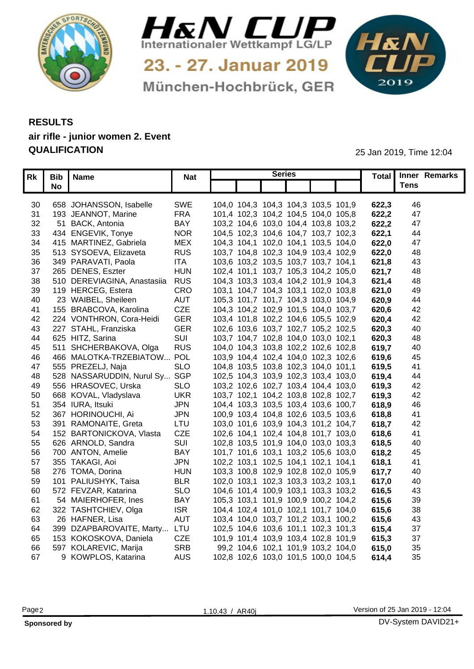



München-Hochbrück, GER

1&N 

## **RESULTS air rifle - junior women 2. Event QUALIFICATION** 25 Jan 2019, Time 12:04

|    | Rk   Bib   Name                   | <b>Nat</b> |  | <b>Series</b>                       |  |       | Total Inner Remarks    |  |
|----|-----------------------------------|------------|--|-------------------------------------|--|-------|------------------------|--|
|    | <b>No</b>                         |            |  |                                     |  |       | <b>Tens</b>            |  |
|    |                                   |            |  |                                     |  |       |                        |  |
|    | 658 JOHANSSON, Isabelle<br>30     | SWE        |  | 104,0 104,3 104,3 104,3 103,5 101,9 |  | 622,3 | 46                     |  |
|    | 193 JEANNOT, Marine<br>31         | <b>FRA</b> |  | 101,4 102,3 104,2 104,5 104,0 105,8 |  | 622,2 | 47                     |  |
|    | 32<br>51 BACK, Antonia            | <b>BAY</b> |  | 103,2 104,6 103,0 104,4 103,8 103,2 |  | 622,2 | 47                     |  |
|    | 434 ENGEVIK, Tonye<br>33          | <b>NOR</b> |  | 104,5 102,3 104,6 104,7 103,7 102,3 |  | 622.7 | 44                     |  |
|    | 415 MARTINEZ, Gabriela<br>34      | <b>MEX</b> |  | 104,3 104,1 102,0 104,1 103,5 104,0 |  | 622,0 | 47                     |  |
|    | 513 SYSOEVA, Elizaveta<br>35      | <b>RUS</b> |  | 103,7 104,8 102,3 104,9 103,4 102,9 |  | 622,0 | 48                     |  |
|    | 36<br>349 PARAVATI, Paola         | <b>ITA</b> |  | 103,6 103,2 103,5 103,7 103,7 104,1 |  | 1,621 | 43                     |  |
|    | 265 DENES, Eszter<br>37           | <b>HUN</b> |  | 102,4 101,1 103,7 105,3 104,2 105,0 |  | 621.  | 48                     |  |
|    | 510 DEREVIAGINA, Anastasiia<br>38 | <b>RUS</b> |  | 104,3 103,3 103,4 104,2 101,9 104,3 |  | 621,4 | 48                     |  |
|    | 119 HERCEG, Estera<br>39          | CRO        |  | 103,1 104,7 104,3 103,1 102,0 103,8 |  | 621,0 | 49                     |  |
|    | 23 WAIBEL, Sheileen<br>40         | <b>AUT</b> |  | 105,3 101,7 101,7 104,3 103,0 104,9 |  | 620,9 | 44                     |  |
| 41 | 155 BRABCOVA, Karolina            | CZE        |  | 104,3 104,2 102,9 101,5 104,0 103,7 |  | 620,6 | 42                     |  |
|    | 224 VONTHRON, Cora-Heidi<br>42    | <b>GER</b> |  | 103,4 101,8 102,2 104,6 105,5 102,9 |  | 620,4 | 42                     |  |
|    | 227 STAHL, Franziska<br>43        | <b>GER</b> |  | 102,6 103,6 103,7 102,7 105,2 102,5 |  | 620,3 | 40                     |  |
|    | 625 HITZ, Sarina<br>44            | SUI        |  | 103,7 104,7 102,8 104,0 103,0 102,1 |  | 620,3 | 48                     |  |
|    | 511 SHCHERBAKOVA, Olga<br>45      | <b>RUS</b> |  | 104,0 104,3 103,8 102,2 102,6 102,8 |  | 619,7 | 40                     |  |
|    | 466 MALOTKA-TRZEBIATOW POL<br>46  |            |  | 103,9 104,4 102,4 104,0 102,3 102,6 |  | 619,6 | 45                     |  |
|    | 555 PREZELJ, Naja<br>47           | <b>SLO</b> |  | 104,8 103,5 103,8 102,3 104,0 101,1 |  | 619,5 |                        |  |
|    | 528 NASSARUDDIN, Nurul Sy<br>48   | SGP        |  | 102,5 104,3 103,9 102,3 103,4 103,0 |  | 619.4 | 44                     |  |
|    | 556 HRASOVEC, Urska<br>49         | <b>SLO</b> |  | 103,2 102,6 102,7 103,4 104,4 103,0 |  | 619,3 | 42                     |  |
|    | 668 KOVAL, Vladyslava<br>50       | <b>UKR</b> |  | 103,7 102,1 104,2 103,8 102,8 102,7 |  | 619,3 | 42                     |  |
|    | 51<br>354 IURA, Itsuki            | <b>JPN</b> |  | 104,4 103,3 103,5 103,4 103,6 100,7 |  | 618,9 | 46                     |  |
|    | 367 HORINOUCHI, Ai<br>52          | <b>JPN</b> |  | 100,9 103,4 104,8 102,6 103,5 103,6 |  | 618,8 | 4 <sup>′</sup>         |  |
|    | 391 RAMONAITE, Greta<br>53        | LTU        |  | 103,0 101,6 103,9 104,3 101,2 104,7 |  | 618,7 | 42                     |  |
|    | 152 BARTONICKOVA, Vlasta<br>54    | <b>CZE</b> |  | 102,6 104,1 102,4 104,8 101,7 103,0 |  | 618,6 | $\mathcal{A}^{\prime}$ |  |
|    | 55<br>626 ARNOLD, Sandra          | SUI        |  | 102,8 103,5 101,9 104,0 103,0 103,3 |  | 618,5 | 40                     |  |
|    | 56<br>700 ANTON, Amelie           | <b>BAY</b> |  | 101,7 101,6 103,1 103,2 105,6 103,0 |  | 618,2 | 45                     |  |
|    | 355 TAKAGI, Aoi<br>57             | <b>JPN</b> |  | 102,2 103,1 102,5 104,1 102,1 104,1 |  | 618.1 | -41                    |  |
|    | 276 TOMA, Dorina<br>58            | <b>HUN</b> |  | 103,3 100,8 102,9 102,8 102,0 105,9 |  | 617.7 | 40                     |  |
|    | 101 PALIUSHYK, Taisa<br>59        | <b>BLR</b> |  | 102,0 103,1 102,3 103,3 103,2 103,1 |  | 617,0 | 40                     |  |
|    | 572 FEVZAR, Katarina<br>60        | <b>SLO</b> |  | 104,6 101,4 100,9 103,1 103,3 103,2 |  | 616,5 | 43                     |  |
|    | 54 MAIERHOFER, Ines<br>61         | <b>BAY</b> |  | 105,3 103,1 101,9 100,9 100,2 104,2 |  | 615,6 | 39                     |  |
|    | 322 TASHTCHIEV, Olga<br>62        | <b>ISR</b> |  | 104,4 102,4 101,0 102,1 101,7 104,0 |  | 615,6 | 38                     |  |
|    | 26 HAFNER, Lisa<br>63             | <b>AUT</b> |  | 103,4 104,0 103,7 101,2 103,1 100,2 |  | 615,6 | 43                     |  |
|    | 399 DZAPBAROVAITE, Marty<br>64    | LTU        |  | 102,5 104,6 103,6 101,1 102,3 101,3 |  | 615,4 | 37                     |  |
|    | 153 KOKOSKOVA, Daniela<br>65      | <b>CZE</b> |  | 101,9 101,4 103,9 103,4 102,8 101,9 |  | 615,3 | 37                     |  |
|    | 597 KOLAREVIC, Marija<br>66       | <b>SRB</b> |  | 99,2 104,6 102,1 101,9 103,2 104,0  |  | 615,0 | 35                     |  |
|    | 9 KOWPLOS, Katarina<br>67         | <b>AUS</b> |  | 102,8 102,6 103,0 101,5 100,0 104,5 |  | 614,4 | 35                     |  |